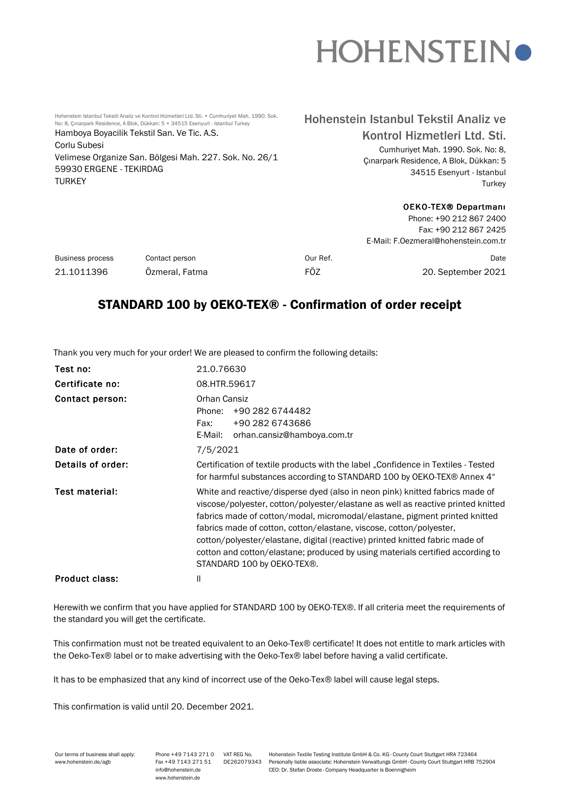# **HOHENSTEINO**

Hohenstein Istanbul Tekstil Analiz ve Kontrol Hizmetleri Ltd. Sti. • Cumhuriyet Mah. 1990. Sok. No: 8, Çınarpark Residence, A Blok, Dükkan: 5 • 34515 Esenyurt - Istanbul Turkey Hamboya Boyacilik Tekstil San. Ve Tic. A.S. Corlu Subesi Velimese Organize San. Bölgesi Mah. 227. Sok. No. 26/1 59930 ERGENE - TEKIRDAG **TURKEY** 

## Hohenstein Istanbul Tekstil Analiz ve Kontrol Hizmetleri Ltd. Sti.

Cumhuriyet Mah. 1990. Sok. No: 8, Çınarpark Residence, A Blok, Dükkan: 5 34515 Esenyurt - Istanbul **Turkey** 

#### OEKO-TEX® Departmanı Phone: +90 212 867 2400

|                         |                |                                      | Fax: +90 212 867 2425 |  |
|-------------------------|----------------|--------------------------------------|-----------------------|--|
|                         |                | E-Mail: F.Oezmeral@hohenstein.com.tr |                       |  |
| <b>Business process</b> | Contact person | Our Ref.                             | Date                  |  |
| 21.1011396              | Özmeral, Fatma | FÖZ                                  | 20. September 2021    |  |

## STANDARD 100 by OEKO-TEX® - Confirmation of order receipt

Thank you very much for your order! We are pleased to confirm the following details:

| Test no:              | 21.0.76630                                                                                                                                                                                                                                                                                                                                                                                                                                                                                                            |  |  |
|-----------------------|-----------------------------------------------------------------------------------------------------------------------------------------------------------------------------------------------------------------------------------------------------------------------------------------------------------------------------------------------------------------------------------------------------------------------------------------------------------------------------------------------------------------------|--|--|
| Certificate no:       | 08.HTR.59617                                                                                                                                                                                                                                                                                                                                                                                                                                                                                                          |  |  |
| Contact person:       | Orhan Cansiz<br>+90 282 6744482<br>Phone:<br>+90 282 6743686<br>Fax:<br>orhan.cansiz@hamboya.com.tr<br>E-Mail:                                                                                                                                                                                                                                                                                                                                                                                                        |  |  |
| Date of order:        | 7/5/2021                                                                                                                                                                                                                                                                                                                                                                                                                                                                                                              |  |  |
| Details of order:     | Certification of textile products with the label "Confidence in Textiles - Tested<br>for harmful substances according to STANDARD 100 by OEKO-TEX® Annex 4"                                                                                                                                                                                                                                                                                                                                                           |  |  |
| <b>Test material:</b> | White and reactive/disperse dyed (also in neon pink) knitted fabrics made of<br>viscose/polyester, cotton/polyester/elastane as well as reactive printed knitted<br>fabrics made of cotton/modal, micromodal/elastane, pigment printed knitted<br>fabrics made of cotton, cotton/elastane, viscose, cotton/polyester,<br>cotton/polyester/elastane, digital (reactive) printed knitted fabric made of<br>cotton and cotton/elastane; produced by using materials certified according to<br>STANDARD 100 by OEKO-TEX®. |  |  |
| <b>Product class:</b> | Ш                                                                                                                                                                                                                                                                                                                                                                                                                                                                                                                     |  |  |

Herewith we confirm that you have applied for STANDARD 100 by OEKO-TEX®. If all criteria meet the requirements of the standard you will get the certificate.

This confirmation must not be treated equivalent to an Oeko-Tex® certificate! It does not entitle to mark articles with the Oeko-Tex® label or to make advertising with the Oeko-Tex® label before having a valid certificate.

It has to be emphasized that any kind of incorrect use of the Oeko-Tex® label will cause legal steps.

This confirmation is valid until 20. December 2021.

| Our terms of business shall apply: | Phone +49 7143 271 0 | VAT REG No. | Hohenstein Textile Testing Institute GmbH & Co. KG · County Court Stuttgart HRA 723464     |
|------------------------------------|----------------------|-------------|--------------------------------------------------------------------------------------------|
| www.hohenstein.de/agb              | Fax +49 7143 271 51  | DE262079343 | Personally liable associate: Hohenstein Verwaltungs GmbH County Court Stuttgart HRB 752904 |
|                                    | : info@hohenstein.de |             | CEO: Dr. Stefan Droste Company Headquarter is Boennigheim                                  |
|                                    | www.hohenstein.de    |             |                                                                                            |